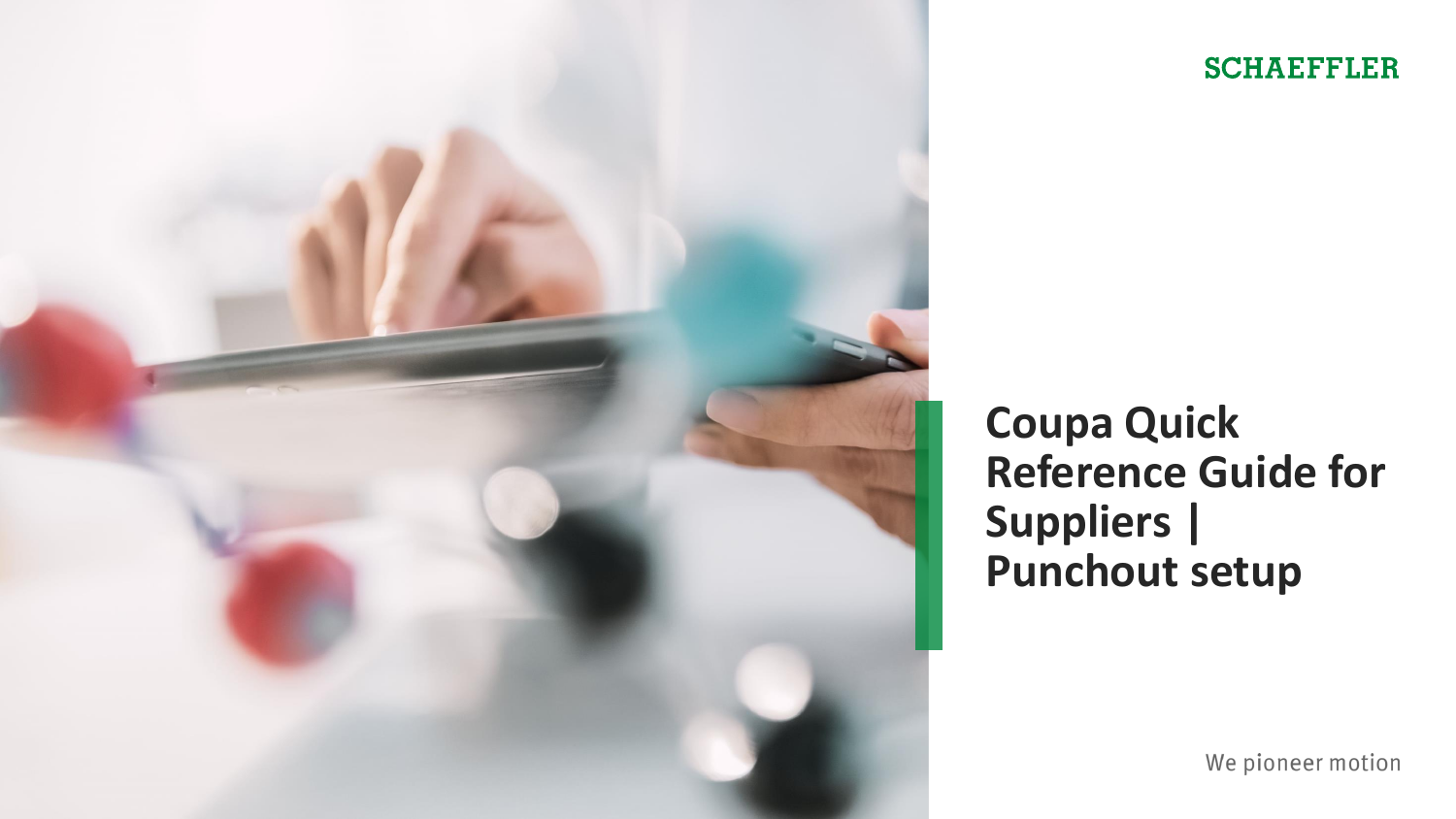

#### **SCHAEFFLER**

**Coupa Quick Reference Guide for Suppliers | Punchout setup**

We pioneer motion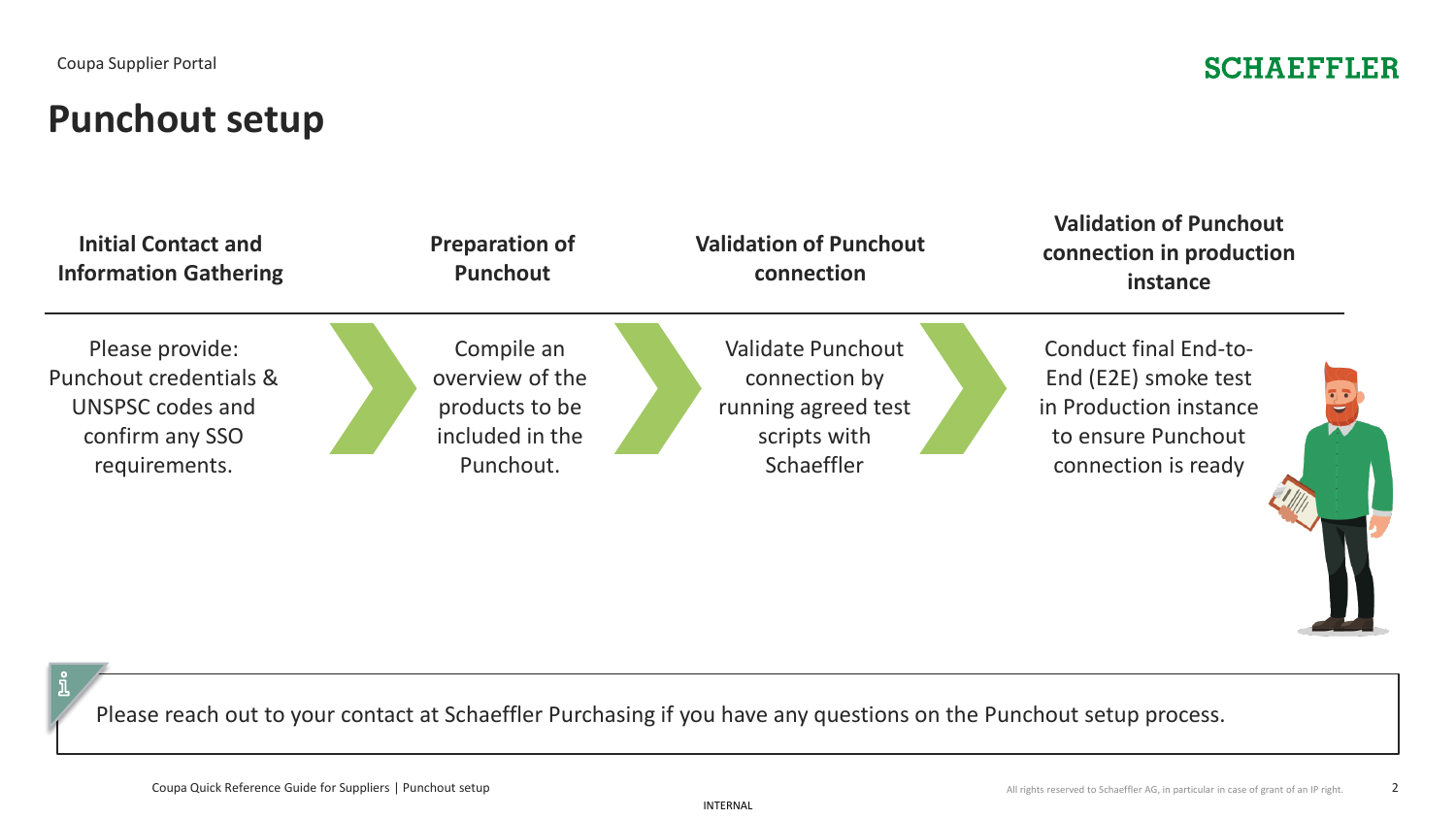#### **SCHAEFFLER**

# **Punchout setup**



Please reach out to your contact at Schaeffler Purchasing if you have any questions on the Punchout setup process.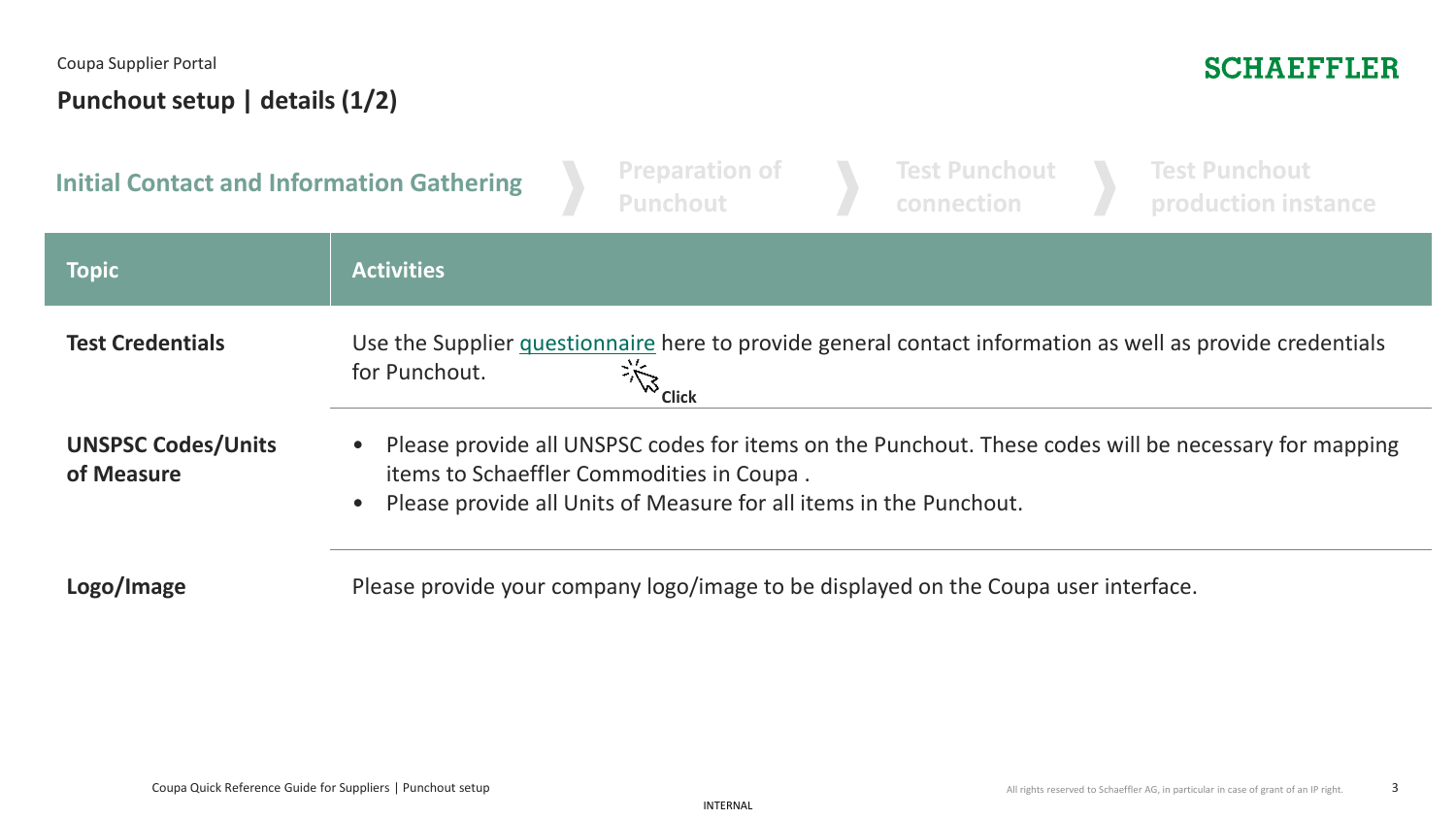#### Coupa Supplier Portal **Punchout setup | details (1/2)**

### **SCHAEFFLER**

| <b>Initial Contact and Information Gathering</b> |                                                                                                                                                                                                                                        |  | <b>Preparation of</b><br><b>Punchout</b>                                            |  | <b>Test Punchout</b><br>connection |  | <b>Test Punchout</b><br>production instance                                                               |  |  |
|--------------------------------------------------|----------------------------------------------------------------------------------------------------------------------------------------------------------------------------------------------------------------------------------------|--|-------------------------------------------------------------------------------------|--|------------------------------------|--|-----------------------------------------------------------------------------------------------------------|--|--|
| <b>Topic</b>                                     | <b>Activities</b>                                                                                                                                                                                                                      |  |                                                                                     |  |                                    |  |                                                                                                           |  |  |
| <b>Test Credentials</b>                          | for Punchout.                                                                                                                                                                                                                          |  | <b>Elick</b>                                                                        |  |                                    |  | Use the Supplier questionnaire here to provide general contact information as well as provide credentials |  |  |
| <b>UNSPSC Codes/Units</b><br>of Measure          | • Please provide all UNSPSC codes for items on the Punchout. These codes will be necessary for mapping<br>items to Schaeffler Commodities in Coupa.<br>Please provide all Units of Measure for all items in the Punchout.<br>$\bullet$ |  |                                                                                     |  |                                    |  |                                                                                                           |  |  |
| Logo/Image                                       |                                                                                                                                                                                                                                        |  | Please provide your company logo/image to be displayed on the Coupa user interface. |  |                                    |  |                                                                                                           |  |  |